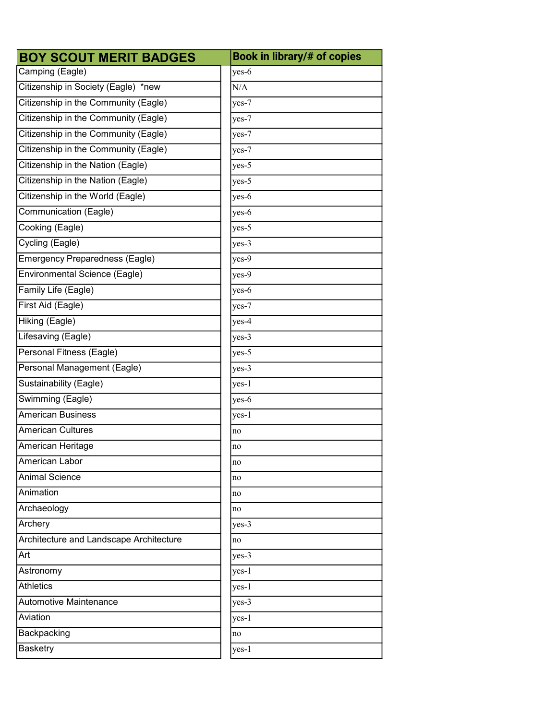| <b>BOY SCOUT MERIT BADGES</b>           | Book in library/# of copies |
|-----------------------------------------|-----------------------------|
| Camping (Eagle)                         | yes-6                       |
| Citizenship in Society (Eagle) *new     | N/A                         |
| Citizenship in the Community (Eagle)    | $yes-7$                     |
| Citizenship in the Community (Eagle)    | $yes-7$                     |
| Citizenship in the Community (Eagle)    | yes-7                       |
| Citizenship in the Community (Eagle)    | $yes-7$                     |
| Citizenship in the Nation (Eagle)       | $yes-5$                     |
| Citizenship in the Nation (Eagle)       | $yes-5$                     |
| Citizenship in the World (Eagle)        | $yes-6$                     |
| Communication (Eagle)                   | $yes-6$                     |
| Cooking (Eagle)                         | $yes-5$                     |
| Cycling (Eagle)                         | $yes-3$                     |
| Emergency Preparedness (Eagle)          | $yes-9$                     |
| <b>Environmental Science (Eagle)</b>    | $yes-9$                     |
| Family Life (Eagle)                     | $yes-6$                     |
| First Aid (Eagle)                       | $yes-7$                     |
| Hiking (Eagle)                          | $yes-4$                     |
| Lifesaving (Eagle)                      | $yes-3$                     |
| Personal Fitness (Eagle)                | $yes-5$                     |
| Personal Management (Eagle)             | $yes-3$                     |
| Sustainability (Eagle)                  | $yes-1$                     |
| Swimming (Eagle)                        | yes-6                       |
| <b>American Business</b>                | yes-1                       |
| <b>American Cultures</b>                | no                          |
| American Heritage                       | no                          |
| American Labor                          | no                          |
| <b>Animal Science</b>                   | no                          |
| Animation                               | no                          |
| Archaeology                             | no                          |
| Archery                                 | $yes-3$                     |
| Architecture and Landscape Architecture | no                          |
| Art                                     | $yes-3$                     |
| Astronomy                               | $yes-1$                     |
| <b>Athletics</b>                        | $yes-1$                     |
| <b>Automotive Maintenance</b>           | $yes-3$                     |
| Aviation                                | yes-1                       |
| Backpacking                             | no                          |
| <b>Basketry</b>                         | $yes-1$                     |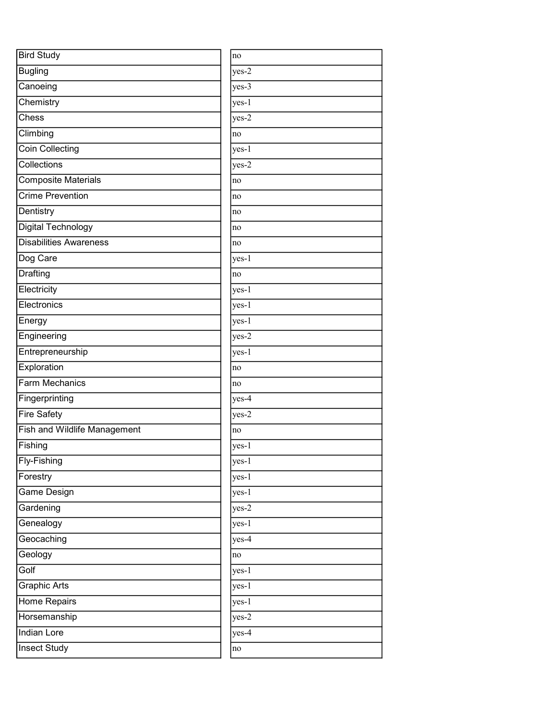| <b>Bird Study</b>                                | no      |
|--------------------------------------------------|---------|
| <b>Bugling</b>                                   | yes-2   |
| Canoeing                                         | $yes-3$ |
| Chemistry                                        | yes-1   |
| $\overline{\overline{\mathrm{C} \mathrm{hess}}}$ | yes-2   |
| Climbing                                         | no      |
| Coin Collecting                                  | yes-1   |
| Collections                                      | yes-2   |
| <b>Composite Materials</b>                       | no      |
| <b>Crime Prevention</b>                          | no      |
| Dentistry                                        | no      |
| Digital Technology                               | no      |
| <b>Disabilities Awareness</b>                    | no      |
| Dog Care                                         | yes-1   |
| <b>Drafting</b>                                  | no      |
| Electricity                                      | $yes-1$ |
| Electronics                                      | $yes-1$ |
| Energy                                           | yes-1   |
| Engineering                                      | yes-2   |
| Entrepreneurship                                 | yes-1   |
| Exploration                                      | no      |
| <b>Farm Mechanics</b>                            | no      |
| Fingerprinting                                   | yes-4   |
| <b>Fire Safety</b>                               | yes-2   |
| <b>Fish and Wildlife Management</b>              | no      |
| Fishing                                          | yes-1   |
| Fly-Fishing                                      | yes-1   |
| Forestry                                         | $yes-1$ |
| <b>Game Design</b>                               | yes-1   |
| Gardening                                        | $yes-2$ |
| Genealogy                                        | $yes-1$ |
| Geocaching                                       | yes-4   |
| Geology                                          | no      |
| Golf                                             | yes-1   |
| <b>Graphic Arts</b>                              | yes-1   |
| Home Repairs                                     | yes-1   |
| Horsemanship                                     | $yes-2$ |
| <b>Indian Lore</b>                               | yes-4   |
| <b>Insect Study</b>                              | no      |
|                                                  |         |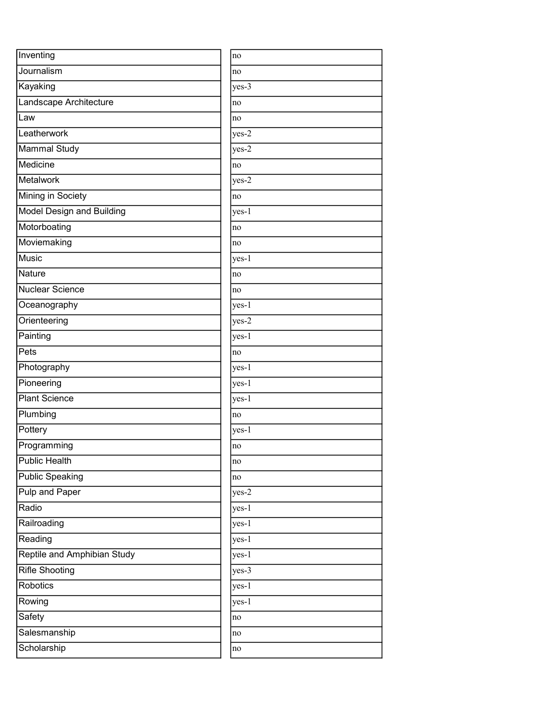| Inventing                        | no      |
|----------------------------------|---------|
| Journalism                       | no      |
| Kayaking                         | $yes-3$ |
| Landscape Architecture           | no      |
| Law                              | no      |
| Leatherwork                      | yes-2   |
| Mammal Study                     | yes-2   |
| Medicine                         | no      |
| Metalwork                        | yes-2   |
| Mining in Society                | no      |
| <b>Model Design and Building</b> | yes-1   |
| Motorboating                     | no      |
| Moviemaking                      | no      |
| <b>Music</b>                     | $yes-1$ |
| Nature                           | no      |
| Nuclear Science                  | no      |
| Oceanography                     | yes-1   |
| Orienteering                     | yes-2   |
| Painting                         | yes-1   |
| Pets                             | no      |
| Photography                      | yes-1   |
| Pioneering                       | yes-1   |
| <b>Plant Science</b>             | yes-1   |
| Plumbing                         | no      |
| Pottery                          | yes-1   |
| Programming                      | no      |
| <b>Public Health</b>             | no      |
| <b>Public Speaking</b>           | no      |
| <b>Pulp and Paper</b>            | yes-2   |
| Radio                            | yes-1   |
| Railroading                      | $yes-1$ |
| Reading                          | yes-1   |
| Reptile and Amphibian Study      | yes-1   |
| <b>Rifle Shooting</b>            | $yes-3$ |
| Robotics                         | yes-1   |
| Rowing                           | yes-1   |
| Safety                           | no      |
| Salesmanship                     | no      |
| Scholarship                      | no      |
|                                  |         |